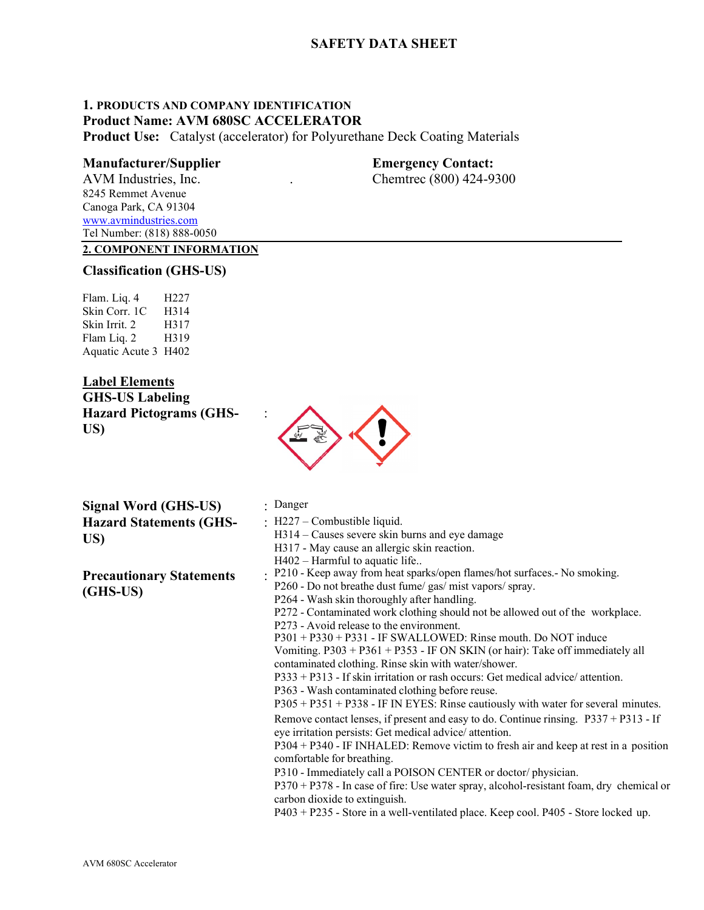# **SAFETY DATA SHEET**

# **1. PRODUCTS AND COMPANY IDENTIFICATION Product Name: AVM 680SC ACCELERATOR**

**Product Use:** Catalyst (accelerator) for Polyurethane Deck Coating Materials

## **Manufacturer/Supplier Emergency Contact:**

AVM Industries, Inc. . Chemtrec (800) 424-9300 8245 Remmet Avenue Canoga Park, CA 91304 [www.avmindustries.com](http://www.avmindustries.com/) Tel Number: (818) 888-0050

# **2. COMPONENT INFORMATION**

## **Classification (GHS-US)**

Flam. Liq. 4 H227 Skin Corr. 1C H314 Skin Irrit. 2 H317 Flam Lig. 2 H319 Aquatic Acute 3 H402

# **Label Elements**

**GHS-US Labeling Hazard Pictograms (GHS-US)**



**Signal Word (GHS-US)** : Danger **Hazard Statements (GHS-US)**

**Precautionary Statements (GHS-US)**

- 
- : H227 Combustible liquid.
- H314 Causes severe skin burns and eye damage
- H317 May cause an allergic skin reaction.
- H402 Harmful to aquatic life..
- : P210 Keep away from heat sparks/open flames/hot surfaces.- No smoking.
- P260 Do not breathe dust fume/ gas/ mist vapors/ spray.
- P264 Wash skin thoroughly after handling.

P272 - Contaminated work clothing should not be allowed out of the workplace.

P273 - Avoid release to the environment.

P301 + P330 + P331 - IF SWALLOWED: Rinse mouth. Do NOT induce Vomiting. P303 + P361 + P353 - IF ON SKIN (or hair): Take off immediately all

contaminated clothing. Rinse skin with water/shower.

P333 + P313 - If skin irritation or rash occurs: Get medical advice/ attention.

P363 - Wash contaminated clothing before reuse.

P305 + P351 + P338 - IF IN EYES: Rinse cautiously with water for several minutes.

Remove contact lenses, if present and easy to do. Continue rinsing. P337 + P313 - If eye irritation persists: Get medical advice/ attention.

P304 + P340 - IF INHALED: Remove victim to fresh air and keep at rest in a position comfortable for breathing.

P310 - Immediately call a POISON CENTER or doctor/ physician.

P370 + P378 - In case of fire: Use water spray, alcohol-resistant foam, dry chemical or carbon dioxide to extinguish.

P403 + P235 - Store in a well-ventilated place. Keep cool. P405 - Store locked up.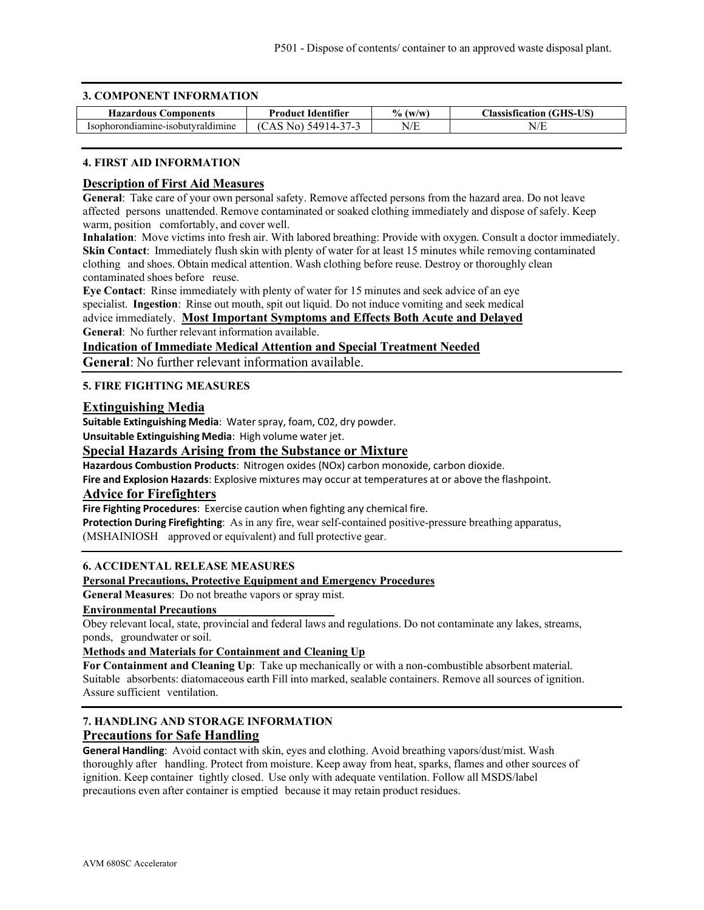### **3. COMPONENT INFORMATION**

| <b>TT</b><br>Hazardous<br><b>Components</b> | .<br><b>Product</b><br>Tdentifier | $\frac{1}{2}$<br>(W/W) | <b>TIC)</b><br><b>Classist.</b><br>tıcatıon<br>.<br>ചാ∗ |
|---------------------------------------------|-----------------------------------|------------------------|---------------------------------------------------------|
| Isophot<br>vraldımıne<br>nhii<br>'∩nr       | . ⁄i C<br><u>чдн</u><br>◝<br>,    | T/T<br>N<br>11         | T/T<br>N/L                                              |

### **4. FIRST AID INFORMATION**

### **Description of First Aid Measures**

**General**: Take care of your own personal safety. Remove affected persons from the hazard area. Do not leave affected persons unattended. Remove contaminated or soaked clothing immediately and dispose of safely. Keep warm, position comfortably, and cover well.

**Inhalation**: Move victims into fresh air. With labored breathing: Provide with oxygen. Consult a doctor immediately. **Skin Contact:** Immediately flush skin with plenty of water for at least 15 minutes while removing contaminated clothing and shoes. Obtain medical attention. Wash clothing before reuse. Destroy or thoroughly clean contaminated shoes before reuse.

**Eye Contact**: Rinse immediately with plenty of water for 15 minutes and seek advice of an eye specialist. **Ingestion**: Rinse out mouth, spit out liquid. Do not induce vomiting and seek medical advice immediately. **Most Important Symptoms and Effects Both Acute and Delayed General**: No further relevant information available.

# **Indication of Immediate Medical Attention and Special Treatment Needed**

**General**: No further relevant information available.

### **5. FIRE FIGHTING MEASURES**

### **Extinguishing Media**

**Suitable Extinguishing Media**: Waterspray, foam, C02, dry powder.

**Unsuitable Extinguishing Media**: High volume water jet.

## **Special Hazards Arising from the Substance or Mixture**

**Hazardous Combustion Products**: Nitrogen oxides (NOx) carbon monoxide, carbon dioxide.

**Fire and Explosion Hazards**: Explosive mixtures may occur at temperatures at or above the flashpoint.

### **Advice for Firefighters**

**Fire Fighting Procedures**: Exercise caution when fighting any chemical fire.

**Protection During Firefighting**: As in any fire, wear self-contained positive-pressure breathing apparatus, (MSHAINIOSH approved or equivalent) and full protective gear.

### **6. ACCIDENTAL RELEASE MEASURES**

### **Personal Precautions, Protective Equipment and Emergency Procedures**

**General Measures**: Do not breathe vapors or spray mist.

### **Environmental Precautions**

Obey relevant local, state, provincial and federal laws and regulations. Do not contaminate any lakes, streams, ponds, groundwater or soil.

### **Methods and Materials for Containment and Cleaning Up**

**For Containment and Cleaning Up**: Take up mechanically or with a non-combustible absorbent material. Suitable absorbents: diatomaceous earth Fill into marked, sealable containers. Remove all sources of ignition. Assure sufficient ventilation.

# **7. HANDLING AND STORAGE INFORMATION Precautions for Safe Handling**

**General Handling**: Avoid contact with skin, eyes and clothing. Avoid breathing vapors/dust/mist. Wash thoroughly after handling. Protect from moisture. Keep away from heat, sparks, flames and other sources of ignition. Keep container tightly closed. Use only with adequate ventilation. Follow all MSDS/label precautions even after container is emptied because it may retain product residues.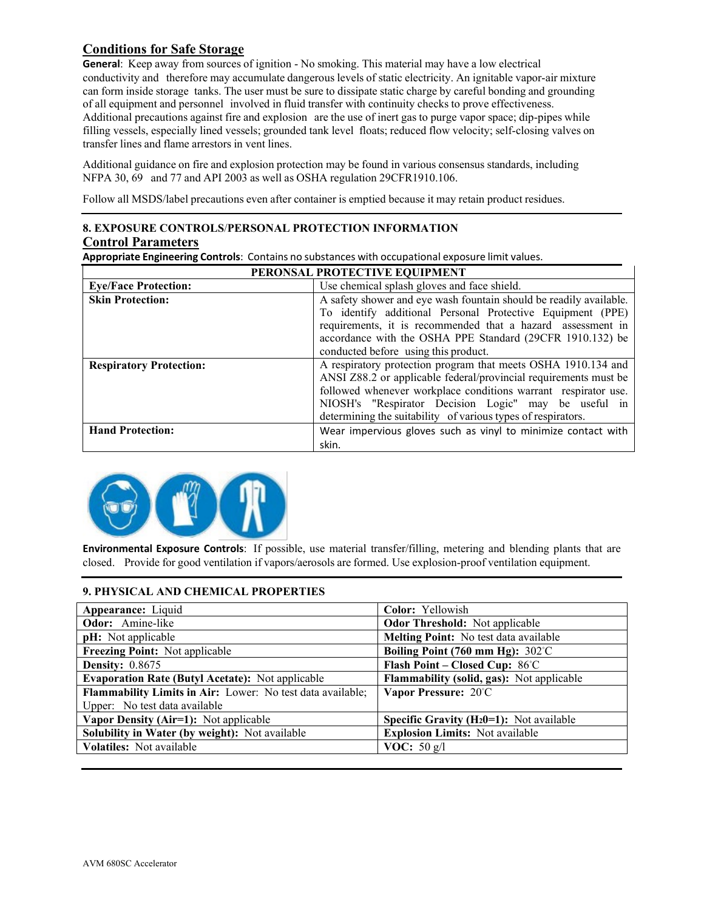# **Conditions for Safe Storage**

**General**: Keep away from sources of ignition - No smoking. This material may have a low electrical conductivity and therefore may accumulate dangerous levels of static electricity. An ignitable vapor-air mixture can form inside storage tanks. The user must be sure to dissipate static charge by careful bonding and grounding of all equipment and personnel involved in fluid transfer with continuity checks to prove effectiveness. Additional precautions against fire and explosion are the use of inert gas to purge vapor space; dip-pipes while filling vessels, especially lined vessels; grounded tank level floats; reduced flow velocity; self-closing valves on transfer lines and flame arrestors in vent lines.

Additional guidance on fire and explosion protection may be found in various consensus standards, including NFPA 30, 69 and 77 and API 2003 as well as OSHA regulation 29CFR1910.106.

Follow all MSDS/label precautions even after container is emptied because it may retain product residues.

# **8. EXPOSURE CONTROLS**/**PERSONAL PROTECTION INFORMATION Control Parameters**

| Appropriate Engineering Controls: Contains no substances with occupational exposure limit values. |  |
|---------------------------------------------------------------------------------------------------|--|
|---------------------------------------------------------------------------------------------------|--|

| PERONSAL PROTECTIVE EQUIPMENT  |                                                                    |  |
|--------------------------------|--------------------------------------------------------------------|--|
| <b>Eye/Face Protection:</b>    | Use chemical splash gloves and face shield.                        |  |
| <b>Skin Protection:</b>        | A safety shower and eye wash fountain should be readily available. |  |
|                                | To identify additional Personal Protective Equipment (PPE)         |  |
|                                | requirements, it is recommended that a hazard assessment in        |  |
|                                | accordance with the OSHA PPE Standard (29CFR 1910.132) be          |  |
|                                | conducted before using this product.                               |  |
| <b>Respiratory Protection:</b> | A respiratory protection program that meets OSHA 1910.134 and      |  |
|                                | ANSI Z88.2 or applicable federal/provincial requirements must be   |  |
|                                | followed whenever workplace conditions warrant respirator use.     |  |
|                                | NIOSH's "Respirator Decision Logic" may be useful in               |  |
|                                | determining the suitability of various types of respirators.       |  |
| <b>Hand Protection:</b>        | Wear impervious gloves such as vinyl to minimize contact with      |  |
|                                | skin.                                                              |  |



**Environmental Exposure Controls**: If possible, use material transfer/filling, metering and blending plants that are closed. Provide for good ventilation if vapors/aerosols are formed. Use explosion-proof ventilation equipment.

## **9. PHYSICAL AND CHEMICAL PROPERTIES**

| Color: Yellowish                                          |  |
|-----------------------------------------------------------|--|
| <b>Odor Threshold:</b> Not applicable                     |  |
| Melting Point: No test data available                     |  |
| Boiling Point (760 mm Hg): $302^{\circ}$ C                |  |
| Flash Point - Closed Cup: 86°C                            |  |
| Flammability (solid, gas): Not applicable                 |  |
| Vapor Pressure: 20°C                                      |  |
|                                                           |  |
| <b>Specific Gravity (H<sub>2</sub>0=1):</b> Not available |  |
| <b>Explosion Limits:</b> Not available                    |  |
| <b>VOC:</b> 50 $g/l$                                      |  |
|                                                           |  |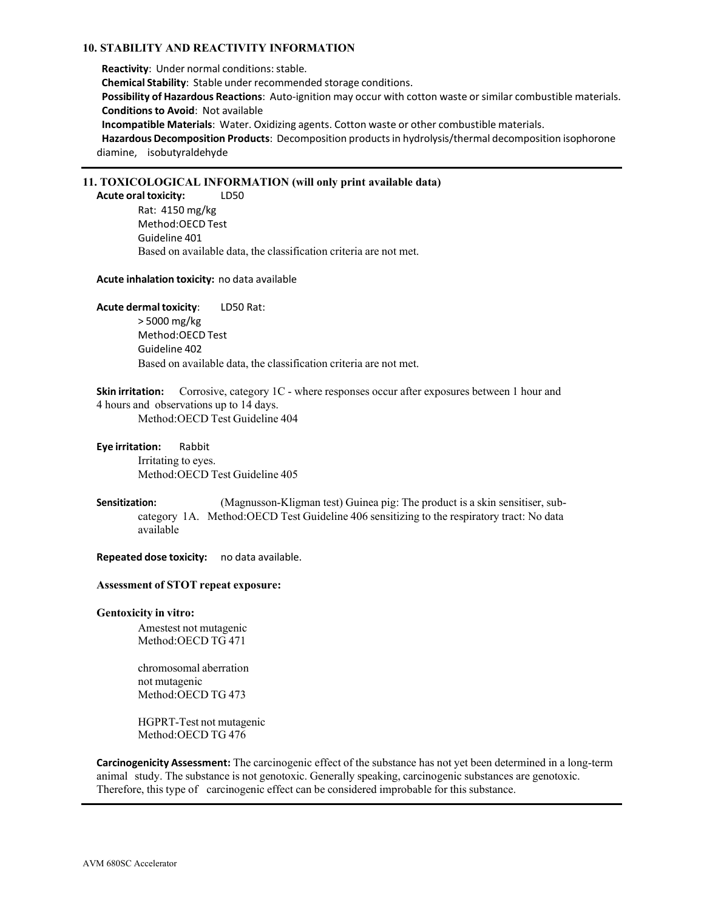### **10. STABILITY AND REACTIVITY INFORMATION**

**Reactivity:** Under normal conditions: stable. **Chemical Stability**: Stable under recommended storage conditions. **Possibility of Hazardous Reactions**: Auto-ignition may occur with cotton waste orsimilar combustible materials. **Conditionsto Avoid**: Not available **Incompatible Materials**: Water. Oxidizing agents. Cotton waste or other combustible materials. **Hazardous Decomposition Products**: Decomposition productsin hydrolysis/thermal decomposition isophorone diamine, isobutyraldehyde

### **11. TOXICOLOGICAL INFORMATION (will only print available data)**

**Acute oral toxicity:** LD50 Rat: 4150 mg/kg Method:OECD Test Guideline 401 Based on available data, the classification criteria are not met.

### **Acute inhalation toxicity:** no data available

**Acute dermaltoxicity**: LD50 Rat: > 5000 mg/kg Method:OECD Test Guideline 402 Based on available data, the classification criteria are not met.

**Skin irritation:** Corrosive, category 1C - where responses occur after exposures between 1 hour and 4 hours and observations up to 14 days. Method:OECD Test Guideline 404

**Eye irritation:** Rabbit Irritating to eyes. Method:OECD Test Guideline 405

**Sensitization:** (Magnusson-Kligman test) Guinea pig: The product is a skin sensitiser, subcategory 1A. Method:OECD Test Guideline 406 sensitizing to the respiratory tract: No data available

**Repeated dose toxicity:** no data available.

### **Assessment of STOT repeat exposure:**

### **Gentoxicity in vitro:**

Amestest not mutagenic Method:OECD TG 471

chromosomal aberration not mutagenic Method:OECD TG 473

HGPRT-Test not mutagenic Method:OECD TG 476

**Carcinogenicity Assessment:** The carcinogenic effect of the substance has not yet been determined in a long-term animal study. The substance is not genotoxic. Generally speaking, carcinogenic substances are genotoxic. Therefore, this type of carcinogenic effect can be considered improbable for this substance.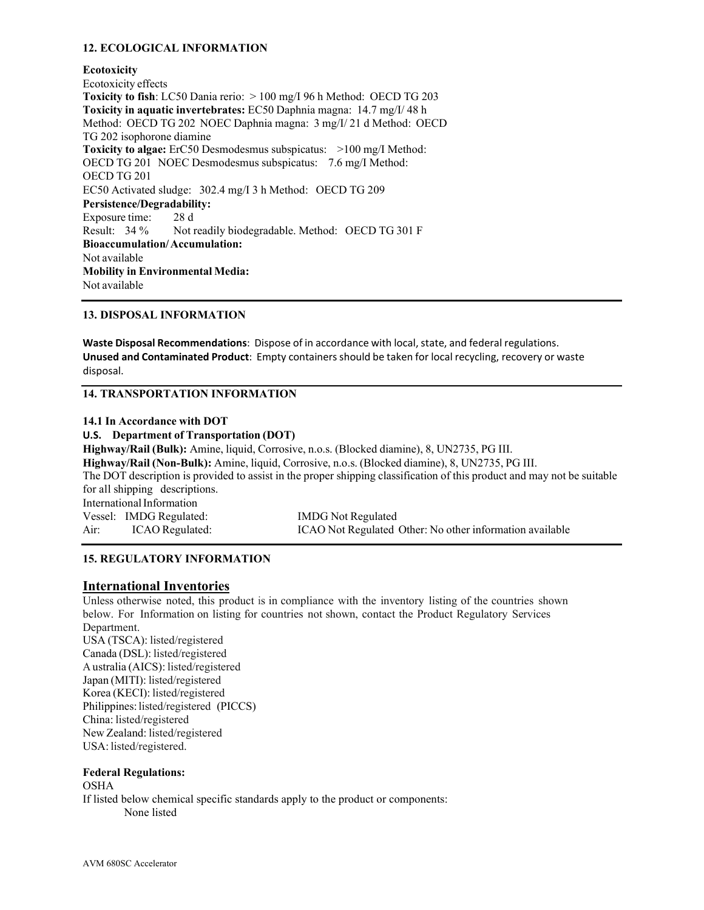## **12. ECOLOGICAL INFORMATION**

**Ecotoxicity** Ecotoxicity effects **Toxicity to fish**: LC50 Dania rerio: > 100 mg/I 96 h Method: OECD TG 203 **Toxicity in aquatic invertebrates:** EC50 Daphnia magna: 14.7 mg/I/ 48 h Method: OECD TG 202 NOEC Daphnia magna: 3 mg/I/ 21 d Method: OECD TG 202 isophorone diamine **Toxicity to algae:** ErC50 Desmodesmus subspicatus: >100 mg/I Method: OECD TG 201 NOEC Desmodesmus subspicatus: 7.6 mg/I Method: OECD TG 201 EC50 Activated sludge: 302.4 mg/I 3 h Method: OECD TG 209 **Persistence/Degradability:** Exposure time: 28 d Result: 34 % Not readily biodegradable. Method: OECD TG 301 F **Bioaccumulation/Accumulation:** Not available **Mobility in Environmental Media:** Not available

### **13. DISPOSAL INFORMATION**

**Waste Disposal Recommendations**: Dispose of in accordance with local, state, and federal regulations. **Unused and Contaminated Product**: Empty containers should be taken for local recycling, recovery or waste disposal.

### **14. TRANSPORTATION INFORMATION**

### **14.1 In Accordance with DOT**

**U.S. Department of Transportation (DOT)**

**Highway/Rail (Bulk):** Amine, liquid, Corrosive, n.o.s. (Blocked diamine), 8, UN2735, PG III. **Highway/Rail (Non-Bulk):** Amine, liquid, Corrosive, n.o.s. (Blocked diamine), 8, UN2735, PG III. The DOT description is provided to assist in the proper shipping classification of this product and may not be suitable for all shipping descriptions. InternationalInformation Vessel: IMDG Regulated: IMDG Not Regulated Air: ICAO Regulated: ICAO Not Regulated Other: No other information available

### **15. REGULATORY INFORMATION**

### **International Inventories**

Unless otherwise noted, this product is in compliance with the inventory listing of the countries shown below. For Information on listing for countries not shown, contact the Product Regulatory Services Department. USA (TSCA): listed/registered

Canada (DSL): listed/registered A ustralia (AICS): listed/registered Japan (MITI): listed/registered Korea (KECI): listed/registered Philippines: listed/registered (PICCS) China: listed/registered New Zealand: listed/registered USA: listed/registered.

### **Federal Regulations:**

OSHA If listed below chemical specific standards apply to the product or components: None listed